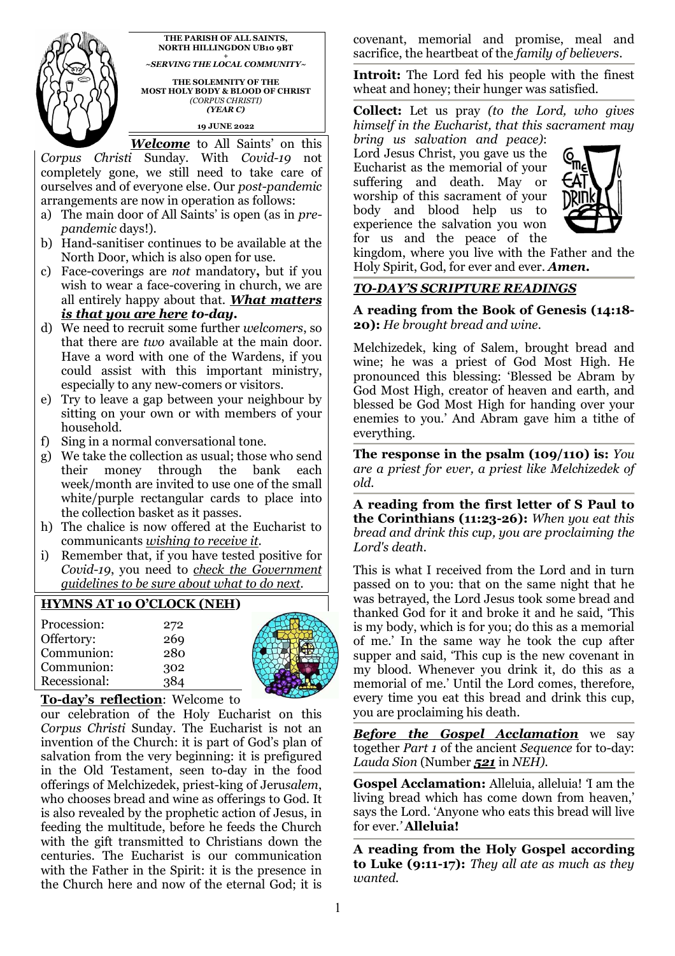

**NORTH HILLINGDON UB10 9BT +**  *~SERVING THE LOCAL COMMUNITY~*  **THE SOLEMNITY OF THE** 

**THE PARISH OF ALL SAINTS,** 

**MOST HOLY BODY & BLOOD OF CHRIST**  *(CORPUS CHRISTI) (YEAR C)* 

**19 JUNE 2022** 

*Welcome* to All Saints' on this *Corpus Christi* Sunday. With *Covid-19* not completely gone, we still need to take care of ourselves and of everyone else. Our *post-pandemic* arrangements are now in operation as follows:

- a) The main door of All Saints' is open (as in *prepandemic* days!).
- b) Hand-sanitiser continues to be available at the North Door, which is also open for use.
- c) Face-coverings are *not* mandatory**,** but if you wish to wear a face-covering in church, we are all entirely happy about that. *What matters is that you are here to-day.*
- d) We need to recruit some further *welcomers*, so that there are *two* available at the main door. Have a word with one of the Wardens, if you could assist with this important ministry, especially to any new-comers or visitors.
- e) Try to leave a gap between your neighbour by sitting on your own or with members of your household.
- f) Sing in a normal conversational tone.
- g) We take the collection as usual; those who send their money through the bank each week/month are invited to use one of the small white/purple rectangular cards to place into the collection basket as it passes.
- h) The chalice is now offered at the Eucharist to communicants *wishing to receive it*.
- i) Remember that, if you have tested positive for *Covid-19*, you need to *check the Government guidelines to be sure about what to do next.*

## **HYMNS AT 10 O'CLOCK (NEH)**

| Procession:  | 272 |
|--------------|-----|
| Offertory:   | 269 |
| Communion:   | 280 |
| Communion:   | 302 |
| Recessional: | 384 |



#### **To-day's reflection**: Welcome to

our celebration of the Holy Eucharist on this *Corpus Christi* Sunday. The Eucharist is not an invention of the Church: it is part of God's plan of salvation from the very beginning: it is prefigured in the Old Testament, seen to-day in the food offerings of Melchizedek, priest-king of Jeru*salem*, who chooses bread and wine as offerings to God. It is also revealed by the prophetic action of Jesus, in feeding the multitude, before he feeds the Church with the gift transmitted to Christians down the centuries. The Eucharist is our communication with the Father in the Spirit: it is the presence in the Church here and now of the eternal God; it is

covenant, memorial and promise, meal and sacrifice, the heartbeat of the *family of believers*.

**Introit:** The Lord fed his people with the finest wheat and honey; their hunger was satisfied.

**Collect:** Let us pray *(to the Lord, who gives himself in the Eucharist, that this sacrament may bring us salvation and peace)*:

Lord Jesus Christ, you gave us the Eucharist as the memorial of your suffering and death. May or worship of this sacrament of your body and blood help us to experience the salvation you won for us and the peace of the



kingdom, where you live with the Father and the Holy Spirit, God, for ever and ever. *Amen.* 

### *TO-DAY'S SCRIPTURE READINGS*

**A reading from the Book of Genesis (14:18- 20):** *He brought bread and wine.*

Melchizedek, king of Salem, brought bread and wine; he was a priest of God Most High. He pronounced this blessing: 'Blessed be Abram by God Most High, creator of heaven and earth, and blessed be God Most High for handing over your enemies to you.' And Abram gave him a tithe of everything.

**The response in the psalm (109/110) is:** *You are a priest for ever, a priest like Melchizedek of old.* 

**A reading from the first letter of S Paul to the Corinthians (11:23-26):** *When you eat this bread and drink this cup, you are proclaiming the Lord's death.* 

This is what I received from the Lord and in turn passed on to you: that on the same night that he was betrayed, the Lord Jesus took some bread and thanked God for it and broke it and he said, 'This is my body, which is for you; do this as a memorial of me.' In the same way he took the cup after supper and said, 'This cup is the new covenant in my blood. Whenever you drink it, do this as a memorial of me.' Until the Lord comes, therefore, every time you eat this bread and drink this cup, you are proclaiming his death.

*Before the Gospel Acclamation* we say together *Part 1* of the ancient *Sequence* for to-day: *Lauda Sion* (Number *521* in *NEH).*

**Gospel Acclamation:** Alleluia, alleluia! *'*I am the living bread which has come down from heaven,' says the Lord. 'Anyone who eats this bread will live for ever.*'* **Alleluia!**

**A reading from the Holy Gospel according to Luke (9:11-17):** *They all ate as much as they wanted.*